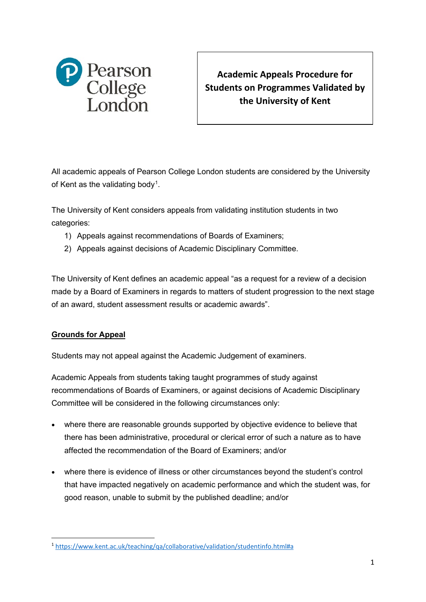

**Academic Appeals Procedure for Students on Programmes Validated by the University of Kent**

All academic appeals of Pearson College London students are considered by the University of Kent as the validating body<sup>[1](#page-0-0)</sup>.

The University of Kent considers appeals from validating institution students in two categories:

- 1) Appeals against recommendations of Boards of Examiners;
- 2) Appeals against decisions of Academic Disciplinary Committee.

The University of Kent defines an academic appeal "as a request for a review of a decision made by a Board of Examiners in regards to matters of student progression to the next stage of an award, student assessment results or academic awards".

## **Grounds for Appeal**

Students may not appeal against the Academic Judgement of examiners.

Academic Appeals from students taking taught programmes of study against recommendations of Boards of Examiners, or against decisions of Academic Disciplinary Committee will be considered in the following circumstances only:

- where there are reasonable grounds supported by objective evidence to believe that there has been administrative, procedural or clerical error of such a nature as to have affected the recommendation of the Board of Examiners; and/or
- where there is evidence of illness or other circumstances beyond the student's control that have impacted negatively on academic performance and which the student was, for good reason, unable to submit by the published deadline; and/or

<span id="page-0-0"></span><sup>1</sup> <https://www.kent.ac.uk/teaching/qa/collaborative/validation/studentinfo.html#a>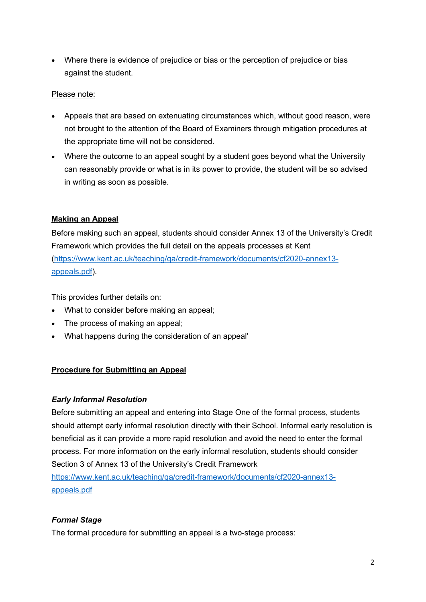• Where there is evidence of prejudice or bias or the perception of prejudice or bias against the student.

## Please note:

- Appeals that are based on extenuating circumstances which, without good reason, were not brought to the attention of the Board of Examiners through mitigation procedures at the appropriate time will not be considered.
- Where the outcome to an appeal sought by a student goes beyond what the University can reasonably provide or what is in its power to provide, the student will be so advised in writing as soon as possible.

## **Making an Appeal**

Before making such an appeal, students should consider Annex 13 of the University's Credit Framework which provides the full detail on the appeals processes at Kent [\(https://www.kent.ac.uk/teaching/qa/credit-framework/documents/cf2020-annex13](https://www.kent.ac.uk/teaching/qa/credit-framework/documents/cf2020-annex13-appeals.pdf) [appeals.pdf\)](https://www.kent.ac.uk/teaching/qa/credit-framework/documents/cf2020-annex13-appeals.pdf).

This provides further details on:

- What to consider before making an appeal;
- The process of making an appeal;
- What happens during the consideration of an appeal'

### **Procedure for Submitting an Appeal**

### *Early Informal Resolution*

Before submitting an appeal and entering into Stage One of the formal process, students should attempt early informal resolution directly with their School. Informal early resolution is beneficial as it can provide a more rapid resolution and avoid the need to enter the formal process. For more information on the early informal resolution, students should consider Section 3 of Annex 13 of the University's Credit Framework

[https://www.kent.ac.uk/teaching/qa/credit-framework/documents/cf2020-annex13](https://www.kent.ac.uk/teaching/qa/credit-framework/documents/cf2020-annex13-appeals.pdf) [appeals.pdf](https://www.kent.ac.uk/teaching/qa/credit-framework/documents/cf2020-annex13-appeals.pdf)

### *Formal Stage*

The formal procedure for submitting an appeal is a two-stage process: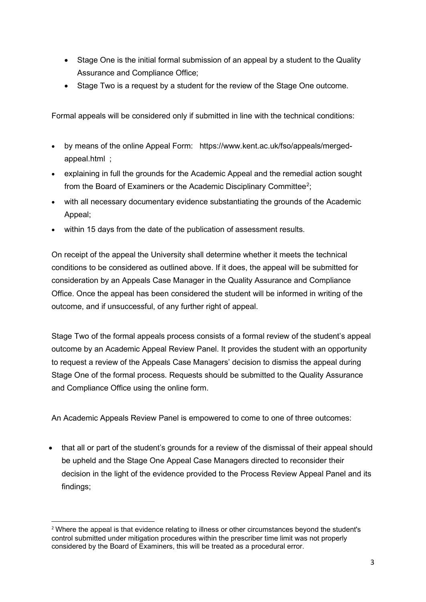- Stage One is the initial formal submission of an appeal by a student to the Quality Assurance and Compliance Office;
- Stage Two is a request by a student for the review of the Stage One outcome.

Formal appeals will be considered only if submitted in line with the technical conditions:

- by means of the online Appeal Form: https://www.kent.ac.uk/fso/appeals/mergedappeal.html ;
- explaining in full the grounds for the Academic Appeal and the remedial action sought from the Board of Examiners or the Academic Disciplinary Committee<sup>[2](#page-2-0)</sup>;
- with all necessary documentary evidence substantiating the grounds of the Academic Appeal;
- within 15 days from the date of the publication of assessment results.

On receipt of the appeal the University shall determine whether it meets the technical conditions to be considered as outlined above. If it does, the appeal will be submitted for consideration by an Appeals Case Manager in the Quality Assurance and Compliance Office. Once the appeal has been considered the student will be informed in writing of the outcome, and if unsuccessful, of any further right of appeal.

Stage Two of the formal appeals process consists of a formal review of the student's appeal outcome by an Academic Appeal Review Panel. It provides the student with an opportunity to request a review of the Appeals Case Managers' decision to dismiss the appeal during Stage One of the formal process. Requests should be submitted to the Quality Assurance and Compliance Office using the online form.

An Academic Appeals Review Panel is empowered to come to one of three outcomes:

• that all or part of the student's grounds for a review of the dismissal of their appeal should be upheld and the Stage One Appeal Case Managers directed to reconsider their decision in the light of the evidence provided to the Process Review Appeal Panel and its findings;

<span id="page-2-0"></span><sup>2</sup> Where the appeal is that evidence relating to illness or other circumstances beyond the student's control submitted under mitigation procedures within the prescriber time limit was not properly considered by the Board of Examiners, this will be treated as a procedural error.